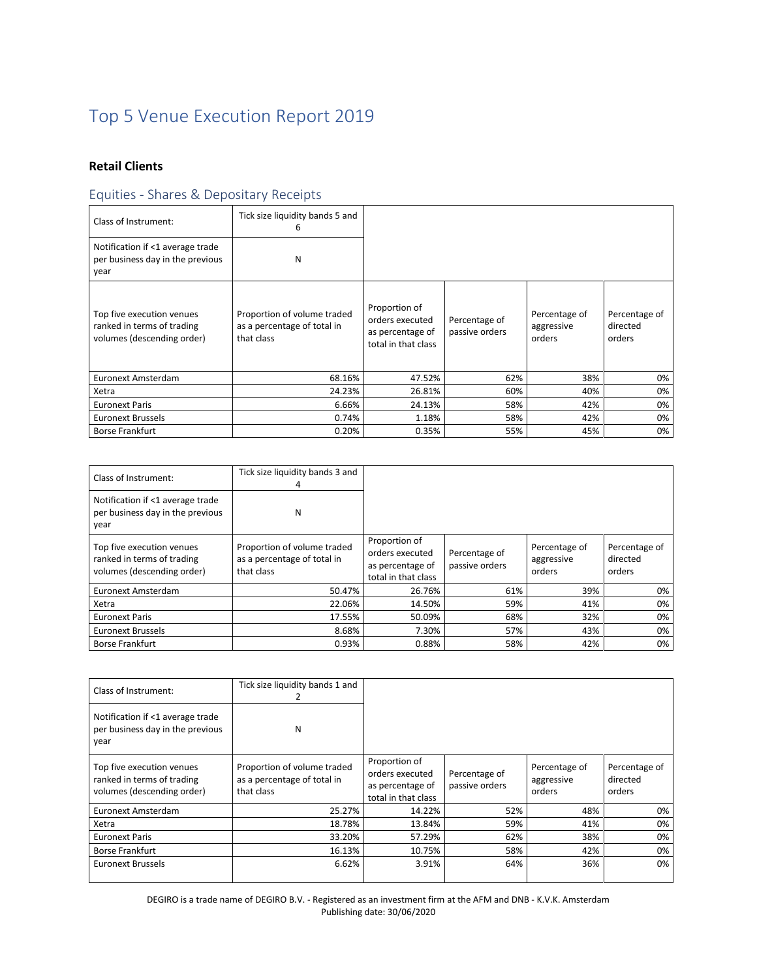# Top 5 Venue Execution Report 2019

## **Retail Clients**

## Equities - Shares & Depositary Receipts

| Class of Instrument:                                                                  | Tick size liquidity bands 5 and<br>6                                     |                                                                             |                                 |                                       |                                     |
|---------------------------------------------------------------------------------------|--------------------------------------------------------------------------|-----------------------------------------------------------------------------|---------------------------------|---------------------------------------|-------------------------------------|
| Notification if <1 average trade<br>per business day in the previous<br>year          | N                                                                        |                                                                             |                                 |                                       |                                     |
| Top five execution venues<br>ranked in terms of trading<br>volumes (descending order) | Proportion of volume traded<br>as a percentage of total in<br>that class | Proportion of<br>orders executed<br>as percentage of<br>total in that class | Percentage of<br>passive orders | Percentage of<br>aggressive<br>orders | Percentage of<br>directed<br>orders |
| Euronext Amsterdam                                                                    | 68.16%                                                                   | 47.52%                                                                      | 62%                             | 38%                                   | 0%                                  |
| Xetra                                                                                 | 24.23%                                                                   | 26.81%                                                                      | 60%                             | 40%                                   | 0%                                  |
| <b>Euronext Paris</b>                                                                 | 6.66%                                                                    | 24.13%                                                                      | 58%                             | 42%                                   | 0%                                  |
| <b>Euronext Brussels</b>                                                              | 0.74%                                                                    | 1.18%                                                                       | 58%                             | 42%                                   | 0%                                  |
| <b>Borse Frankfurt</b>                                                                | 0.20%                                                                    | 0.35%                                                                       | 55%                             | 45%                                   | 0%                                  |

| Class of Instrument:                                                                  | Tick size liquidity bands 3 and<br>4                                     |                                                                             |                                 |                                       |                                     |
|---------------------------------------------------------------------------------------|--------------------------------------------------------------------------|-----------------------------------------------------------------------------|---------------------------------|---------------------------------------|-------------------------------------|
| Notification if <1 average trade<br>per business day in the previous<br>year          | N                                                                        |                                                                             |                                 |                                       |                                     |
| Top five execution venues<br>ranked in terms of trading<br>volumes (descending order) | Proportion of volume traded<br>as a percentage of total in<br>that class | Proportion of<br>orders executed<br>as percentage of<br>total in that class | Percentage of<br>passive orders | Percentage of<br>aggressive<br>orders | Percentage of<br>directed<br>orders |
| Euronext Amsterdam                                                                    | 50.47%                                                                   | 26.76%                                                                      | 61%                             | 39%                                   | 0%                                  |
| Xetra                                                                                 | 22.06%                                                                   | 14.50%                                                                      | 59%                             | 41%                                   | 0%                                  |
| <b>Euronext Paris</b>                                                                 | 17.55%                                                                   | 50.09%                                                                      | 68%                             | 32%                                   | 0%                                  |
| <b>Euronext Brussels</b>                                                              | 8.68%                                                                    | 7.30%                                                                       | 57%                             | 43%                                   | 0%                                  |
| <b>Borse Frankfurt</b>                                                                | 0.93%                                                                    | 0.88%                                                                       | 58%                             | 42%                                   | 0%                                  |

| Class of Instrument:                                                                  | Tick size liquidity bands 1 and                                          |                                                                             |                                 |                                       |                                     |
|---------------------------------------------------------------------------------------|--------------------------------------------------------------------------|-----------------------------------------------------------------------------|---------------------------------|---------------------------------------|-------------------------------------|
| Notification if <1 average trade<br>per business day in the previous<br>year          | N                                                                        |                                                                             |                                 |                                       |                                     |
| Top five execution venues<br>ranked in terms of trading<br>volumes (descending order) | Proportion of volume traded<br>as a percentage of total in<br>that class | Proportion of<br>orders executed<br>as percentage of<br>total in that class | Percentage of<br>passive orders | Percentage of<br>aggressive<br>orders | Percentage of<br>directed<br>orders |
| Euronext Amsterdam                                                                    | 25.27%                                                                   | 14.22%                                                                      | 52%                             | 48%                                   | 0%                                  |
| Xetra                                                                                 | 18.78%                                                                   | 13.84%                                                                      | 59%                             | 41%                                   | 0%                                  |
| <b>Euronext Paris</b>                                                                 | 33.20%                                                                   | 57.29%                                                                      | 62%                             | 38%                                   | 0%                                  |
| <b>Borse Frankfurt</b>                                                                | 16.13%                                                                   | 10.75%                                                                      | 58%                             | 42%                                   | 0%                                  |
| <b>Euronext Brussels</b>                                                              | 6.62%                                                                    | 3.91%                                                                       | 64%                             | 36%                                   | 0%                                  |

DEGIRO is a trade name of DEGIRO B.V. - Registered as an investment firm at the AFM and DNB - K.V.K. Amsterdam Publishing date: 30/06/2020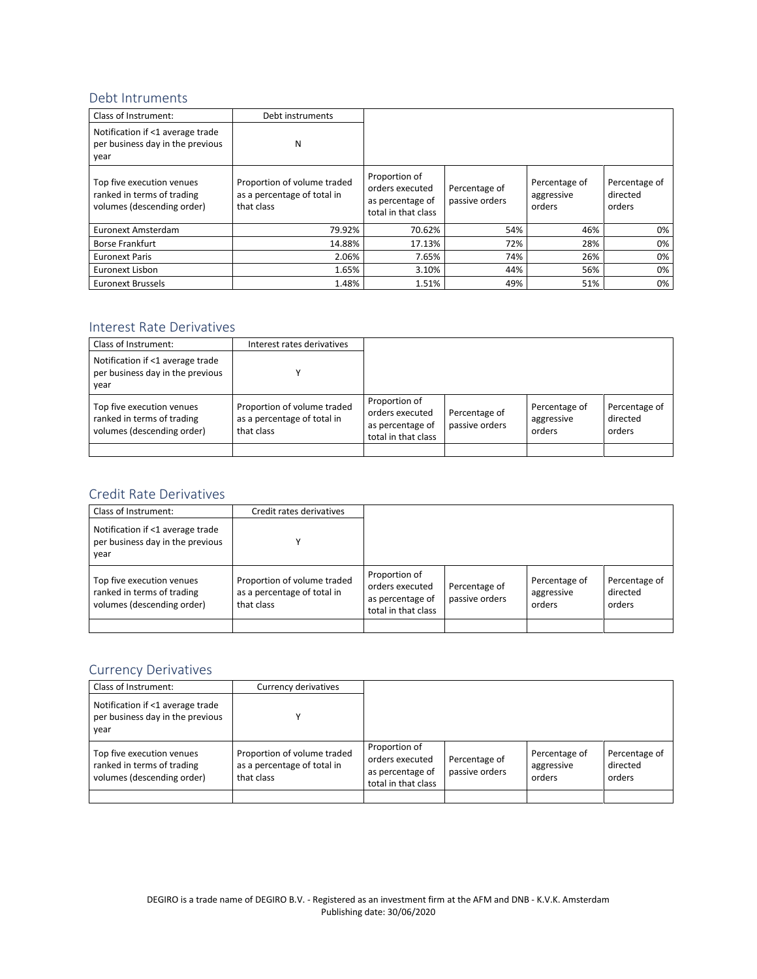#### Debt Intruments

| Class of Instrument:                                                                  | Debt instruments                                                         |                                                                             |                                 |                                       |                                     |
|---------------------------------------------------------------------------------------|--------------------------------------------------------------------------|-----------------------------------------------------------------------------|---------------------------------|---------------------------------------|-------------------------------------|
| Notification if <1 average trade<br>per business day in the previous<br>year          | N                                                                        |                                                                             |                                 |                                       |                                     |
| Top five execution venues<br>ranked in terms of trading<br>volumes (descending order) | Proportion of volume traded<br>as a percentage of total in<br>that class | Proportion of<br>orders executed<br>as percentage of<br>total in that class | Percentage of<br>passive orders | Percentage of<br>aggressive<br>orders | Percentage of<br>directed<br>orders |
| Euronext Amsterdam                                                                    | 79.92%                                                                   | 70.62%                                                                      | 54%                             | 46%                                   | 0%                                  |
| Borse Frankfurt                                                                       | 14.88%                                                                   | 17.13%                                                                      | 72%                             | 28%                                   | 0%                                  |
| <b>Euronext Paris</b>                                                                 | 2.06%                                                                    | 7.65%                                                                       | 74%                             | 26%                                   | 0%                                  |
| Euronext Lisbon                                                                       | 1.65%                                                                    | 3.10%                                                                       | 44%                             | 56%                                   | 0%                                  |
| <b>Euronext Brussels</b>                                                              | 1.48%                                                                    | 1.51%                                                                       | 49%                             | 51%                                   | 0%                                  |

## Interest Rate Derivatives

| Class of Instrument:                                                                  | Interest rates derivatives                                               |                                                                             |                                 |                                       |                                     |
|---------------------------------------------------------------------------------------|--------------------------------------------------------------------------|-----------------------------------------------------------------------------|---------------------------------|---------------------------------------|-------------------------------------|
| Notification if <1 average trade<br>per business day in the previous<br>year          |                                                                          |                                                                             |                                 |                                       |                                     |
| Top five execution venues<br>ranked in terms of trading<br>volumes (descending order) | Proportion of volume traded<br>as a percentage of total in<br>that class | Proportion of<br>orders executed<br>as percentage of<br>total in that class | Percentage of<br>passive orders | Percentage of<br>aggressive<br>orders | Percentage of<br>directed<br>orders |
|                                                                                       |                                                                          |                                                                             |                                 |                                       |                                     |

#### Credit Rate Derivatives

| Class of Instrument:                                                                  | Credit rates derivatives                                                 |                                                                             |                                 |                                       |                                     |
|---------------------------------------------------------------------------------------|--------------------------------------------------------------------------|-----------------------------------------------------------------------------|---------------------------------|---------------------------------------|-------------------------------------|
| Notification if <1 average trade<br>per business day in the previous<br>year          |                                                                          |                                                                             |                                 |                                       |                                     |
| Top five execution venues<br>ranked in terms of trading<br>volumes (descending order) | Proportion of volume traded<br>as a percentage of total in<br>that class | Proportion of<br>orders executed<br>as percentage of<br>total in that class | Percentage of<br>passive orders | Percentage of<br>aggressive<br>orders | Percentage of<br>directed<br>orders |
|                                                                                       |                                                                          |                                                                             |                                 |                                       |                                     |

## Currency Derivatives

| Class of Instrument:                                                                  | Currency derivatives                                                     |                                                                             |                                 |                                       |                                     |
|---------------------------------------------------------------------------------------|--------------------------------------------------------------------------|-----------------------------------------------------------------------------|---------------------------------|---------------------------------------|-------------------------------------|
| Notification if <1 average trade<br>per business day in the previous<br>year          |                                                                          |                                                                             |                                 |                                       |                                     |
| Top five execution venues<br>ranked in terms of trading<br>volumes (descending order) | Proportion of volume traded<br>as a percentage of total in<br>that class | Proportion of<br>orders executed<br>as percentage of<br>total in that class | Percentage of<br>passive orders | Percentage of<br>aggressive<br>orders | Percentage of<br>directed<br>orders |
|                                                                                       |                                                                          |                                                                             |                                 |                                       |                                     |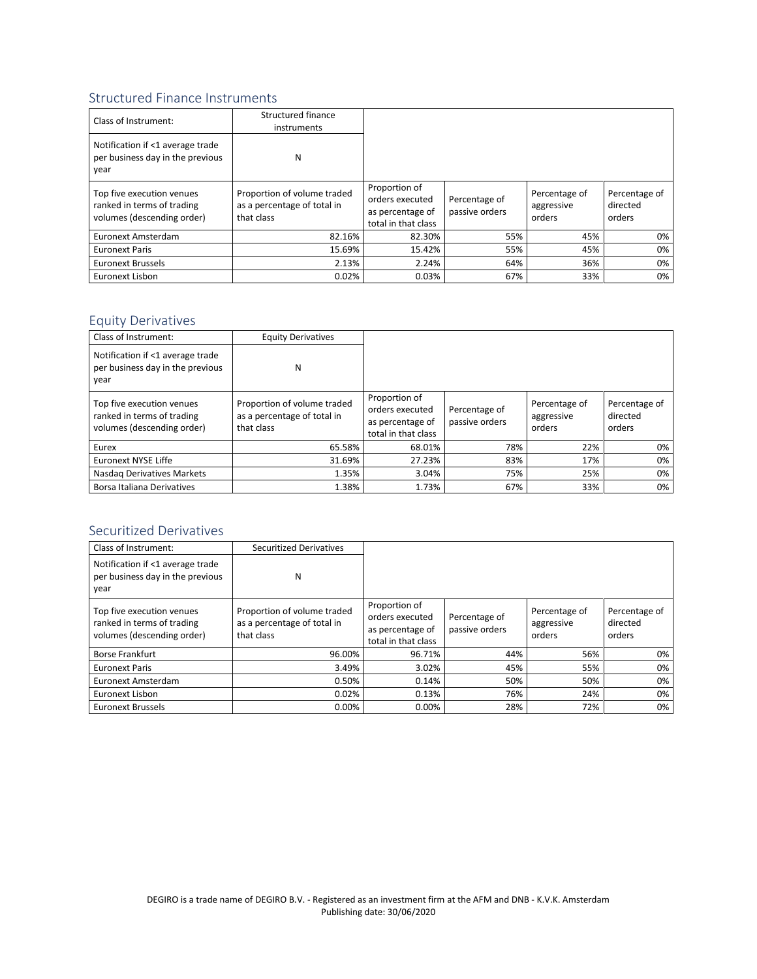## Structured Finance Instruments

| Class of Instrument:                                                                  | Structured finance<br>instruments                                        |                                                                             |                                 |                                       |                                     |
|---------------------------------------------------------------------------------------|--------------------------------------------------------------------------|-----------------------------------------------------------------------------|---------------------------------|---------------------------------------|-------------------------------------|
| Notification if <1 average trade<br>per business day in the previous<br>year          | N                                                                        |                                                                             |                                 |                                       |                                     |
| Top five execution venues<br>ranked in terms of trading<br>volumes (descending order) | Proportion of volume traded<br>as a percentage of total in<br>that class | Proportion of<br>orders executed<br>as percentage of<br>total in that class | Percentage of<br>passive orders | Percentage of<br>aggressive<br>orders | Percentage of<br>directed<br>orders |
| Euronext Amsterdam                                                                    | 82.16%                                                                   | 82.30%                                                                      | 55%                             | 45%                                   | 0%                                  |
| <b>Euronext Paris</b>                                                                 | 15.69%                                                                   | 15.42%                                                                      | 55%                             | 45%                                   | 0%                                  |
| <b>Euronext Brussels</b>                                                              | 2.13%                                                                    | 2.24%                                                                       | 64%                             | 36%                                   | 0%                                  |
| Euronext Lisbon                                                                       | 0.02%                                                                    | 0.03%                                                                       | 67%                             | 33%                                   | 0%                                  |

## Equity Derivatives

| Class of Instrument:                                                                  | <b>Equity Derivatives</b>                                                |                                                                             |                                 |                                       |                                     |
|---------------------------------------------------------------------------------------|--------------------------------------------------------------------------|-----------------------------------------------------------------------------|---------------------------------|---------------------------------------|-------------------------------------|
| Notification if <1 average trade<br>per business day in the previous<br>year          | N                                                                        |                                                                             |                                 |                                       |                                     |
| Top five execution venues<br>ranked in terms of trading<br>volumes (descending order) | Proportion of volume traded<br>as a percentage of total in<br>that class | Proportion of<br>orders executed<br>as percentage of<br>total in that class | Percentage of<br>passive orders | Percentage of<br>aggressive<br>orders | Percentage of<br>directed<br>orders |
| Eurex                                                                                 | 65.58%                                                                   | 68.01%                                                                      | 78%                             | 22%                                   | 0%                                  |
| Euronext NYSE Liffe                                                                   | 31.69%                                                                   | 27.23%                                                                      | 83%                             | 17%                                   | 0%                                  |
| Nasdag Derivatives Markets                                                            | 1.35%                                                                    | 3.04%                                                                       | 75%                             | 25%                                   | 0%                                  |
| Borsa Italiana Derivatives                                                            | 1.38%                                                                    | 1.73%                                                                       | 67%                             | 33%                                   | 0%                                  |

#### Securitized Derivatives

| <b>Class of Instrument:</b>                                                           | <b>Securitized Derivatives</b>                                           |                                                                             |                                 |                                       |                                     |
|---------------------------------------------------------------------------------------|--------------------------------------------------------------------------|-----------------------------------------------------------------------------|---------------------------------|---------------------------------------|-------------------------------------|
| Notification if <1 average trade<br>per business day in the previous<br>year          | N                                                                        |                                                                             |                                 |                                       |                                     |
| Top five execution venues<br>ranked in terms of trading<br>volumes (descending order) | Proportion of volume traded<br>as a percentage of total in<br>that class | Proportion of<br>orders executed<br>as percentage of<br>total in that class | Percentage of<br>passive orders | Percentage of<br>aggressive<br>orders | Percentage of<br>directed<br>orders |
| <b>Borse Frankfurt</b>                                                                | 96.00%                                                                   | 96.71%                                                                      | 44%                             | 56%                                   | 0%                                  |
| <b>Euronext Paris</b>                                                                 | 3.49%                                                                    | 3.02%                                                                       | 45%                             | 55%                                   | 0%                                  |
| Euronext Amsterdam                                                                    | 0.50%                                                                    | 0.14%                                                                       | 50%                             | 50%                                   | 0%                                  |
| Euronext Lisbon                                                                       | 0.02%                                                                    | 0.13%                                                                       | 76%                             | 24%                                   | 0%                                  |
| <b>Euronext Brussels</b>                                                              | 0.00%                                                                    | 0.00%                                                                       | 28%                             | 72%                                   | 0%                                  |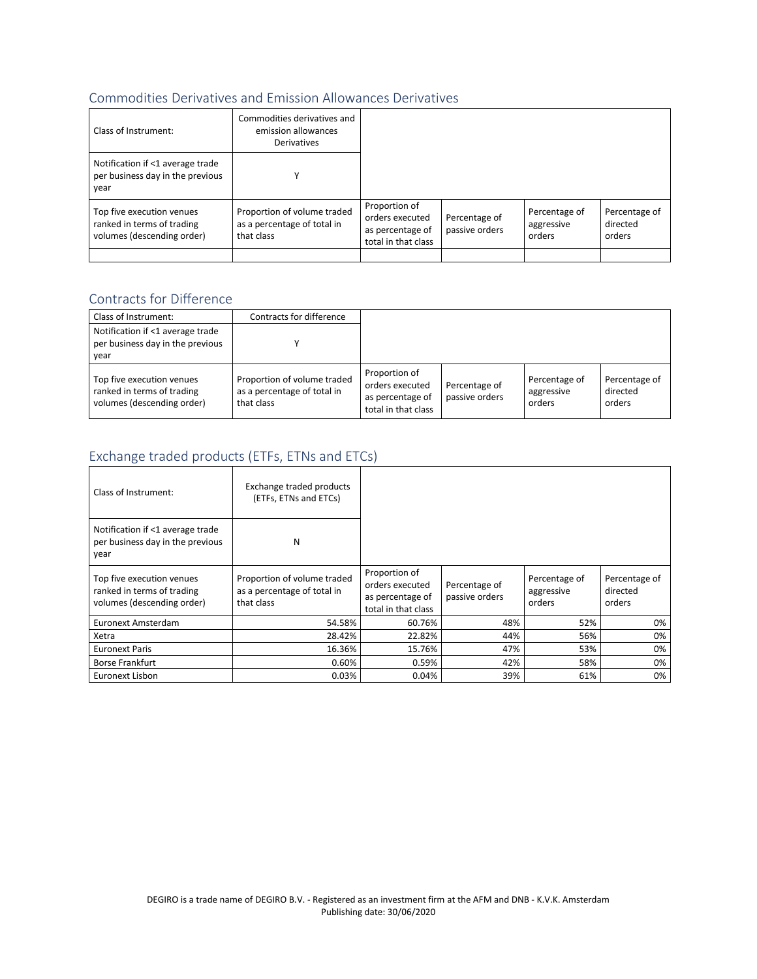#### Commodities Derivatives and Emission Allowances Derivatives

| Class of Instrument:                                                                  | Commodities derivatives and<br>emission allowances<br><b>Derivatives</b> |                                                                             |                                 |                                       |                                     |
|---------------------------------------------------------------------------------------|--------------------------------------------------------------------------|-----------------------------------------------------------------------------|---------------------------------|---------------------------------------|-------------------------------------|
| Notification if <1 average trade<br>per business day in the previous<br>year          |                                                                          |                                                                             |                                 |                                       |                                     |
| Top five execution venues<br>ranked in terms of trading<br>volumes (descending order) | Proportion of volume traded<br>as a percentage of total in<br>that class | Proportion of<br>orders executed<br>as percentage of<br>total in that class | Percentage of<br>passive orders | Percentage of<br>aggressive<br>orders | Percentage of<br>directed<br>orders |
|                                                                                       |                                                                          |                                                                             |                                 |                                       |                                     |

## Contracts for Difference

| Class of Instrument:                                                                  | Contracts for difference                                                 |                                                                             |                                 |                                       |                                     |
|---------------------------------------------------------------------------------------|--------------------------------------------------------------------------|-----------------------------------------------------------------------------|---------------------------------|---------------------------------------|-------------------------------------|
| Notification if <1 average trade<br>per business day in the previous<br>year          |                                                                          |                                                                             |                                 |                                       |                                     |
| Top five execution venues<br>ranked in terms of trading<br>volumes (descending order) | Proportion of volume traded<br>as a percentage of total in<br>that class | Proportion of<br>orders executed<br>as percentage of<br>total in that class | Percentage of<br>passive orders | Percentage of<br>aggressive<br>orders | Percentage of<br>directed<br>orders |

# Exchange traded products (ETFs, ETNs and ETCs)

| Class of Instrument:                                                                  | Exchange traded products<br>(ETFs, ETNs and ETCs)                        |                                                                             |                                 |                                       |                                     |
|---------------------------------------------------------------------------------------|--------------------------------------------------------------------------|-----------------------------------------------------------------------------|---------------------------------|---------------------------------------|-------------------------------------|
| Notification if <1 average trade<br>per business day in the previous<br>year          | N                                                                        |                                                                             |                                 |                                       |                                     |
| Top five execution venues<br>ranked in terms of trading<br>volumes (descending order) | Proportion of volume traded<br>as a percentage of total in<br>that class | Proportion of<br>orders executed<br>as percentage of<br>total in that class | Percentage of<br>passive orders | Percentage of<br>aggressive<br>orders | Percentage of<br>directed<br>orders |
| Euronext Amsterdam                                                                    | 54.58%                                                                   | 60.76%                                                                      | 48%                             | 52%                                   | 0%                                  |
| Xetra                                                                                 | 28.42%                                                                   | 22.82%                                                                      | 44%                             | 56%                                   | 0%                                  |
| <b>Euronext Paris</b>                                                                 | 16.36%                                                                   | 15.76%                                                                      | 47%                             | 53%                                   | 0%                                  |
| Borse Frankfurt                                                                       | 0.60%                                                                    | 0.59%                                                                       | 42%                             | 58%                                   | 0%                                  |
| Euronext Lisbon                                                                       | 0.03%                                                                    | 0.04%                                                                       | 39%                             | 61%                                   | 0%                                  |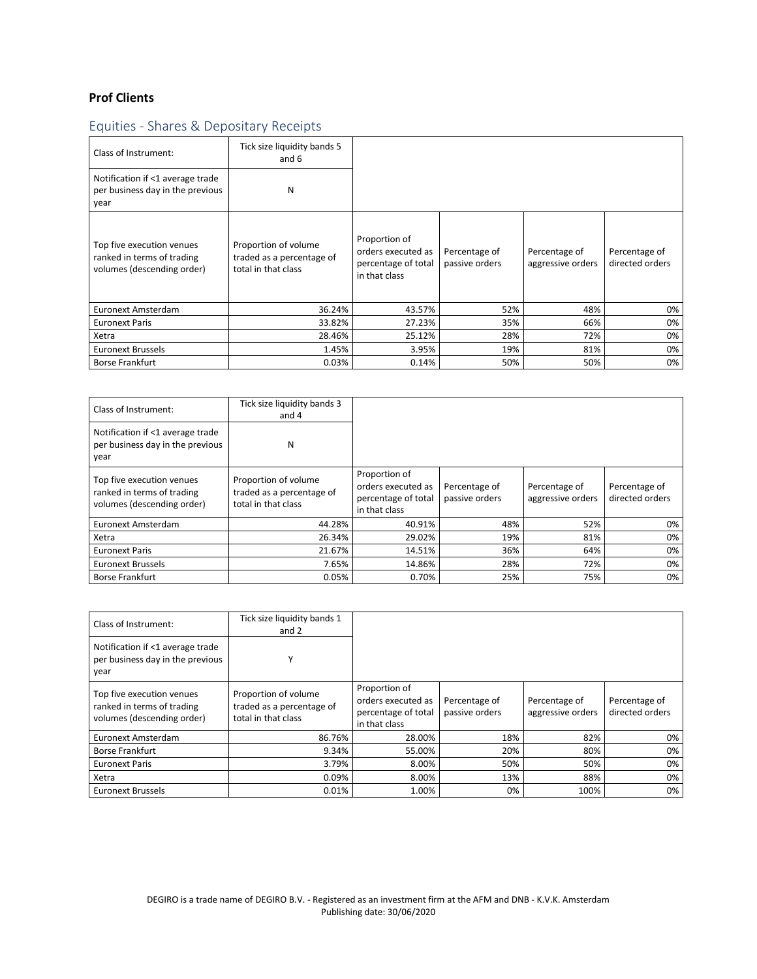## **Prof Clients**

# Equities - Shares & Depositary Receipts

| Class of Instrument:                                                                  | Tick size liquidity bands 5<br>and 6                                     |                                                                             |                                 |                                    |                                  |
|---------------------------------------------------------------------------------------|--------------------------------------------------------------------------|-----------------------------------------------------------------------------|---------------------------------|------------------------------------|----------------------------------|
| Notification if <1 average trade<br>per business day in the previous<br>year          | N                                                                        |                                                                             |                                 |                                    |                                  |
| Top five execution venues<br>ranked in terms of trading<br>volumes (descending order) | Proportion of volume<br>traded as a percentage of<br>total in that class | Proportion of<br>orders executed as<br>percentage of total<br>in that class | Percentage of<br>passive orders | Percentage of<br>aggressive orders | Percentage of<br>directed orders |
| Euronext Amsterdam                                                                    | 36.24%                                                                   | 43.57%                                                                      | 52%                             | 48%                                | 0%                               |
| <b>Euronext Paris</b>                                                                 | 33.82%                                                                   | 27.23%                                                                      | 35%                             | 66%                                | 0%                               |
| Xetra                                                                                 | 28.46%                                                                   | 25.12%                                                                      | 28%                             | 72%                                | 0%                               |
| <b>Euronext Brussels</b>                                                              | 1.45%                                                                    | 3.95%                                                                       | 19%                             | 81%                                | 0%                               |
| <b>Borse Frankfurt</b>                                                                | 0.03%                                                                    | 0.14%                                                                       | 50%                             | 50%                                | 0%                               |

| Class of Instrument:                                                                  | Tick size liquidity bands 3<br>and 4                                     |                                                                             |                                 |                                    |                                  |
|---------------------------------------------------------------------------------------|--------------------------------------------------------------------------|-----------------------------------------------------------------------------|---------------------------------|------------------------------------|----------------------------------|
| Notification if <1 average trade<br>per business day in the previous<br>year          | N                                                                        |                                                                             |                                 |                                    |                                  |
| Top five execution venues<br>ranked in terms of trading<br>volumes (descending order) | Proportion of volume<br>traded as a percentage of<br>total in that class | Proportion of<br>orders executed as<br>percentage of total<br>in that class | Percentage of<br>passive orders | Percentage of<br>aggressive orders | Percentage of<br>directed orders |
| <b>Euronext Amsterdam</b>                                                             | 44.28%                                                                   | 40.91%                                                                      | 48%                             | 52%                                | 0%                               |
| Xetra                                                                                 | 26.34%                                                                   | 29.02%                                                                      | 19%                             | 81%                                | 0%                               |
| <b>Euronext Paris</b>                                                                 | 21.67%                                                                   | 14.51%                                                                      | 36%                             | 64%                                | 0%                               |
| <b>Euronext Brussels</b>                                                              | 7.65%                                                                    | 14.86%                                                                      | 28%                             | 72%                                | 0%                               |
| <b>Borse Frankfurt</b>                                                                | 0.05%                                                                    | 0.70%                                                                       | 25%                             | 75%                                | 0%                               |

| Class of Instrument:                                                                  | Tick size liquidity bands 1<br>and 2                                     |                                                                             |                                 |                                    |                                  |
|---------------------------------------------------------------------------------------|--------------------------------------------------------------------------|-----------------------------------------------------------------------------|---------------------------------|------------------------------------|----------------------------------|
| Notification if <1 average trade<br>per business day in the previous<br>year          |                                                                          |                                                                             |                                 |                                    |                                  |
| Top five execution venues<br>ranked in terms of trading<br>volumes (descending order) | Proportion of volume<br>traded as a percentage of<br>total in that class | Proportion of<br>orders executed as<br>percentage of total<br>in that class | Percentage of<br>passive orders | Percentage of<br>aggressive orders | Percentage of<br>directed orders |
| Euronext Amsterdam                                                                    | 86.76%                                                                   | 28.00%                                                                      | 18%                             | 82%                                | 0%                               |
| <b>Borse Frankfurt</b>                                                                | 9.34%                                                                    | 55.00%                                                                      | 20%                             | 80%                                | 0%                               |
| <b>Euronext Paris</b>                                                                 | 3.79%                                                                    | 8.00%                                                                       | 50%                             | 50%                                | 0%                               |
| Xetra                                                                                 | 0.09%                                                                    | 8.00%                                                                       | 13%                             | 88%                                | 0%                               |
| <b>Euronext Brussels</b>                                                              | 0.01%                                                                    | 1.00%                                                                       | 0%                              | 100%                               | 0%                               |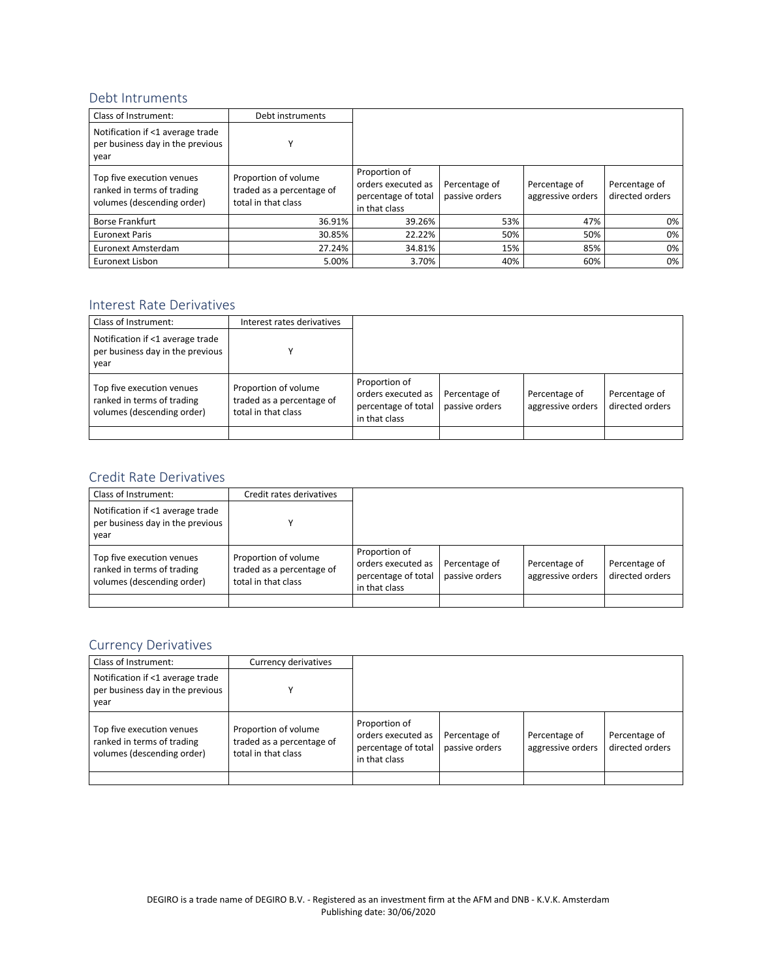#### Debt Intruments

| Class of Instrument:                                                                  | Debt instruments                                                         |                                                                             |                                 |                                    |                                  |
|---------------------------------------------------------------------------------------|--------------------------------------------------------------------------|-----------------------------------------------------------------------------|---------------------------------|------------------------------------|----------------------------------|
| Notification if <1 average trade<br>per business day in the previous<br>vear          |                                                                          |                                                                             |                                 |                                    |                                  |
| Top five execution venues<br>ranked in terms of trading<br>volumes (descending order) | Proportion of volume<br>traded as a percentage of<br>total in that class | Proportion of<br>orders executed as<br>percentage of total<br>in that class | Percentage of<br>passive orders | Percentage of<br>aggressive orders | Percentage of<br>directed orders |
| <b>Borse Frankfurt</b>                                                                | 36.91%                                                                   | 39.26%                                                                      | 53%                             | 47%                                | 0%                               |
| <b>Euronext Paris</b>                                                                 | 30.85%                                                                   | 22.22%                                                                      | 50%                             | 50%                                | 0%                               |
| Euronext Amsterdam                                                                    | 27.24%                                                                   | 34.81%                                                                      | 15%                             | 85%                                | 0%                               |
| Euronext Lisbon                                                                       | 5.00%                                                                    | 3.70%                                                                       | 40%                             | 60%                                | 0%                               |

#### Interest Rate Derivatives

| Class of Instrument:                                                                  | Interest rates derivatives                                               |                                                                             |                                 |                                    |                                  |
|---------------------------------------------------------------------------------------|--------------------------------------------------------------------------|-----------------------------------------------------------------------------|---------------------------------|------------------------------------|----------------------------------|
| Notification if <1 average trade<br>per business day in the previous<br>vear          |                                                                          |                                                                             |                                 |                                    |                                  |
| Top five execution venues<br>ranked in terms of trading<br>volumes (descending order) | Proportion of volume<br>traded as a percentage of<br>total in that class | Proportion of<br>orders executed as<br>percentage of total<br>in that class | Percentage of<br>passive orders | Percentage of<br>aggressive orders | Percentage of<br>directed orders |
|                                                                                       |                                                                          |                                                                             |                                 |                                    |                                  |

#### Credit Rate Derivatives

| Class of Instrument:                                                                  | Credit rates derivatives                                                 |                                                                             |                                 |                                    |                                  |
|---------------------------------------------------------------------------------------|--------------------------------------------------------------------------|-----------------------------------------------------------------------------|---------------------------------|------------------------------------|----------------------------------|
| Notification if <1 average trade<br>per business day in the previous<br>vear          |                                                                          |                                                                             |                                 |                                    |                                  |
| Top five execution venues<br>ranked in terms of trading<br>volumes (descending order) | Proportion of volume<br>traded as a percentage of<br>total in that class | Proportion of<br>orders executed as<br>percentage of total<br>in that class | Percentage of<br>passive orders | Percentage of<br>aggressive orders | Percentage of<br>directed orders |
|                                                                                       |                                                                          |                                                                             |                                 |                                    |                                  |

#### Currency Derivatives

| Class of Instrument:                                                                  | Currency derivatives                                                     |                                                                             |                                 |                                    |                                  |
|---------------------------------------------------------------------------------------|--------------------------------------------------------------------------|-----------------------------------------------------------------------------|---------------------------------|------------------------------------|----------------------------------|
| Notification if <1 average trade<br>per business day in the previous<br>vear          |                                                                          |                                                                             |                                 |                                    |                                  |
| Top five execution venues<br>ranked in terms of trading<br>volumes (descending order) | Proportion of volume<br>traded as a percentage of<br>total in that class | Proportion of<br>orders executed as<br>percentage of total<br>in that class | Percentage of<br>passive orders | Percentage of<br>aggressive orders | Percentage of<br>directed orders |
|                                                                                       |                                                                          |                                                                             |                                 |                                    |                                  |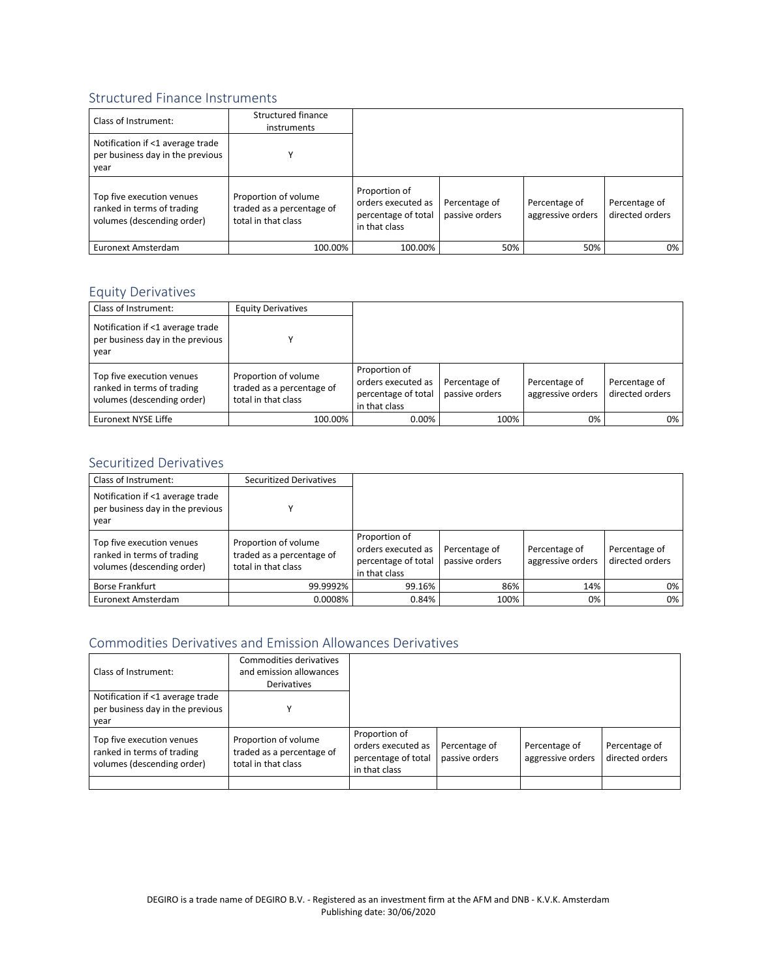#### Structured Finance Instruments

| Class of Instrument:                                                                  | Structured finance<br>instruments                                        |                                                                             |                                 |                                    |                                  |
|---------------------------------------------------------------------------------------|--------------------------------------------------------------------------|-----------------------------------------------------------------------------|---------------------------------|------------------------------------|----------------------------------|
| Notification if <1 average trade<br>per business day in the previous<br>year          |                                                                          |                                                                             |                                 |                                    |                                  |
| Top five execution venues<br>ranked in terms of trading<br>volumes (descending order) | Proportion of volume<br>traded as a percentage of<br>total in that class | Proportion of<br>orders executed as<br>percentage of total<br>in that class | Percentage of<br>passive orders | Percentage of<br>aggressive orders | Percentage of<br>directed orders |
| Euronext Amsterdam                                                                    | 100.00%                                                                  | 100.00%                                                                     | 50%                             | 50%                                | 0%                               |

#### Equity Derivatives

| Class of Instrument:                                                                  | <b>Equity Derivatives</b>                                                |                                                                             |                                 |                                    |                                  |
|---------------------------------------------------------------------------------------|--------------------------------------------------------------------------|-----------------------------------------------------------------------------|---------------------------------|------------------------------------|----------------------------------|
| Notification if <1 average trade<br>per business day in the previous<br>vear          |                                                                          |                                                                             |                                 |                                    |                                  |
| Top five execution venues<br>ranked in terms of trading<br>volumes (descending order) | Proportion of volume<br>traded as a percentage of<br>total in that class | Proportion of<br>orders executed as<br>percentage of total<br>in that class | Percentage of<br>passive orders | Percentage of<br>aggressive orders | Percentage of<br>directed orders |
| Euronext NYSE Liffe                                                                   | 100.00%                                                                  | $0.00\%$                                                                    | 100%                            | 0%                                 | 0%                               |

#### Securitized Derivatives

| Class of Instrument:                                                                  | <b>Securitized Derivatives</b>                                           |                                                                             |                                 |                                    |                                  |
|---------------------------------------------------------------------------------------|--------------------------------------------------------------------------|-----------------------------------------------------------------------------|---------------------------------|------------------------------------|----------------------------------|
| Notification if <1 average trade<br>per business day in the previous<br>vear          |                                                                          |                                                                             |                                 |                                    |                                  |
| Top five execution venues<br>ranked in terms of trading<br>volumes (descending order) | Proportion of volume<br>traded as a percentage of<br>total in that class | Proportion of<br>orders executed as<br>percentage of total<br>in that class | Percentage of<br>passive orders | Percentage of<br>aggressive orders | Percentage of<br>directed orders |
| Borse Frankfurt                                                                       | 99.9992%                                                                 | 99.16%                                                                      | 86%                             | 14%                                | 0%                               |
| Euronext Amsterdam                                                                    | 0.0008%                                                                  | 0.84%                                                                       | 100%                            | 0%                                 | 0%                               |

#### Commodities Derivatives and Emission Allowances Derivatives

| Class of Instrument:                                                                  | Commodities derivatives<br>and emission allowances<br>Derivatives        |                                                                             |                                 |                                    |                                  |
|---------------------------------------------------------------------------------------|--------------------------------------------------------------------------|-----------------------------------------------------------------------------|---------------------------------|------------------------------------|----------------------------------|
| Notification if <1 average trade<br>per business day in the previous<br>year          |                                                                          |                                                                             |                                 |                                    |                                  |
| Top five execution venues<br>ranked in terms of trading<br>volumes (descending order) | Proportion of volume<br>traded as a percentage of<br>total in that class | Proportion of<br>orders executed as<br>percentage of total<br>in that class | Percentage of<br>passive orders | Percentage of<br>aggressive orders | Percentage of<br>directed orders |
|                                                                                       |                                                                          |                                                                             |                                 |                                    |                                  |